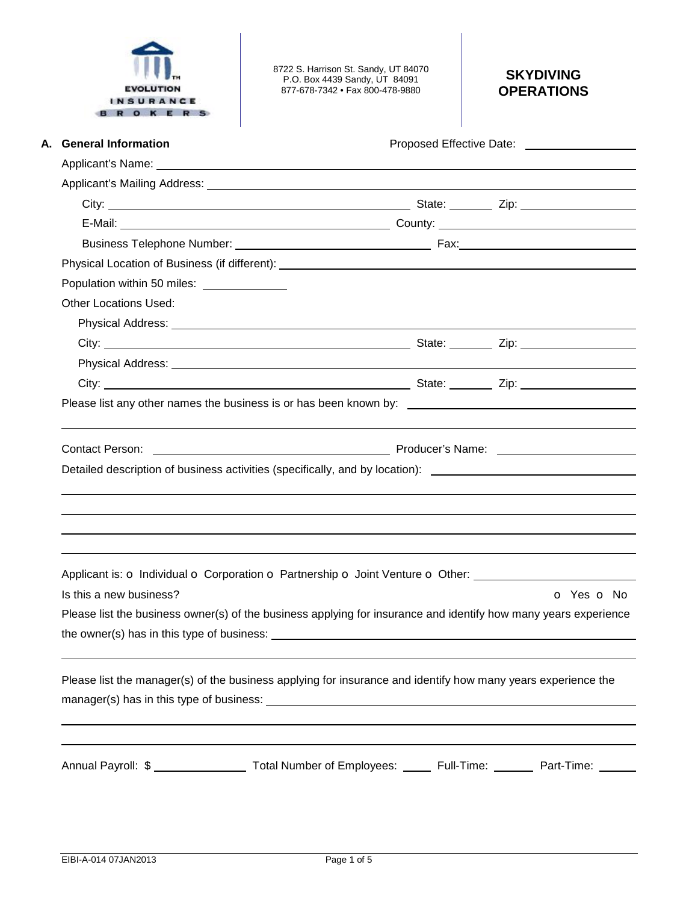| INSURAN<br>OKER                             | 8722 S. Harrison St. Sandy, UT 84070<br>P.O. Box 4439 Sandy, UT 84091<br>877-678-7342 • Fax 800-478-9880                                                                                                                                                                                                                                       | <b>SKYDIVING</b><br><b>OPERATIONS</b>                                                                           |  |  |  |  |
|---------------------------------------------|------------------------------------------------------------------------------------------------------------------------------------------------------------------------------------------------------------------------------------------------------------------------------------------------------------------------------------------------|-----------------------------------------------------------------------------------------------------------------|--|--|--|--|
| A. General Information                      |                                                                                                                                                                                                                                                                                                                                                | Proposed Effective Date: Noted that the set of the set of the set of the set of the set of the set of the set o |  |  |  |  |
|                                             |                                                                                                                                                                                                                                                                                                                                                |                                                                                                                 |  |  |  |  |
|                                             |                                                                                                                                                                                                                                                                                                                                                |                                                                                                                 |  |  |  |  |
|                                             |                                                                                                                                                                                                                                                                                                                                                |                                                                                                                 |  |  |  |  |
|                                             |                                                                                                                                                                                                                                                                                                                                                |                                                                                                                 |  |  |  |  |
|                                             |                                                                                                                                                                                                                                                                                                                                                |                                                                                                                 |  |  |  |  |
|                                             |                                                                                                                                                                                                                                                                                                                                                |                                                                                                                 |  |  |  |  |
| Population within 50 miles: _______________ |                                                                                                                                                                                                                                                                                                                                                |                                                                                                                 |  |  |  |  |
| <b>Other Locations Used:</b>                |                                                                                                                                                                                                                                                                                                                                                |                                                                                                                 |  |  |  |  |
|                                             | Physical Address: <u>2000 Communications</u> and the extent of the extent of the extent of the extent of the extent of                                                                                                                                                                                                                         |                                                                                                                 |  |  |  |  |
|                                             |                                                                                                                                                                                                                                                                                                                                                |                                                                                                                 |  |  |  |  |
|                                             |                                                                                                                                                                                                                                                                                                                                                |                                                                                                                 |  |  |  |  |
|                                             |                                                                                                                                                                                                                                                                                                                                                |                                                                                                                 |  |  |  |  |
|                                             | Contact Person: Name: Name: Name: Name: Name: Name: Name: Name: Name: Name: Name: Name: Name: Name: Name: Name: Name: Name: Name: Name: Name: Name: Name: Name: Name: Name: Name: Name: Name: Name: Name: Name: Name: Name: Na<br>Detailed description of business activities (specifically, and by location):                                 |                                                                                                                 |  |  |  |  |
|                                             | Applicant is: o Individual o Corporation o Partnership o Joint Venture o Other: ____________________                                                                                                                                                                                                                                           |                                                                                                                 |  |  |  |  |
| Is this a new business?                     |                                                                                                                                                                                                                                                                                                                                                | O Yes O No                                                                                                      |  |  |  |  |
|                                             | Please list the business owner(s) of the business applying for insurance and identify how many years experience                                                                                                                                                                                                                                |                                                                                                                 |  |  |  |  |
|                                             | Please list the manager(s) of the business applying for insurance and identify how many years experience the<br>manager(s) has in this type of business: example and a series of the state of the state of the state of the state of the state of the state of the state of the state of the state of the state of the state of the state of t |                                                                                                                 |  |  |  |  |
|                                             | Annual Payroll: \$ ______________________ Total Number of Employees: ______ Full-Time: ________ Part-Time: _____                                                                                                                                                                                                                               |                                                                                                                 |  |  |  |  |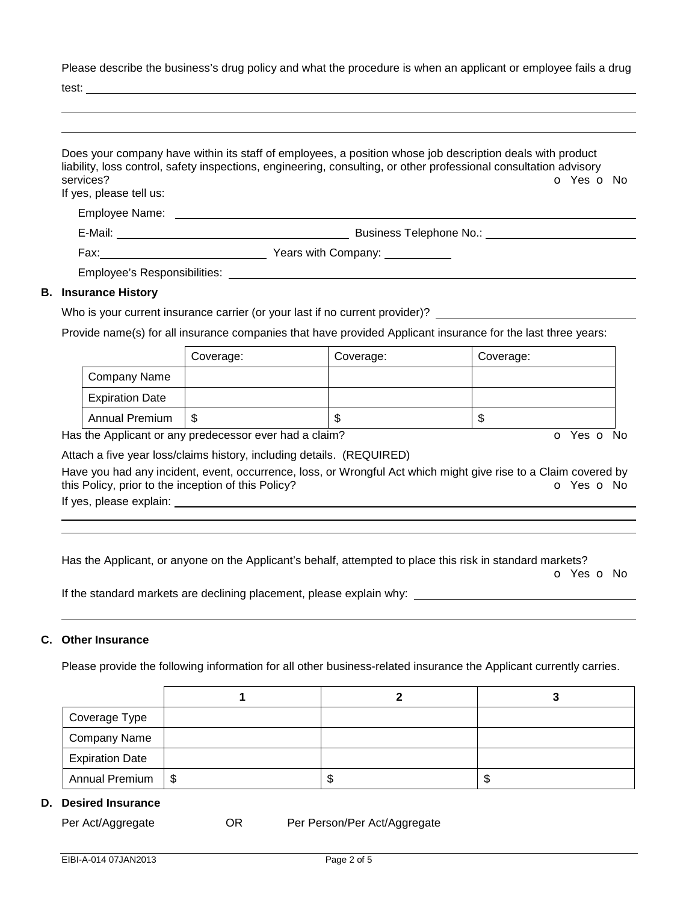Please describe the business's drug policy and what the procedure is when an applicant or employee fails a drug

test:

| services?<br>If yes, please tell us: |           |                                                                                                                                                                                                                                | Does your company have within its staff of employees, a position whose job description deals with product<br>liability, loss control, safety inspections, engineering, consulting, or other professional consultation advisory<br>O Yes O No |
|--------------------------------------|-----------|--------------------------------------------------------------------------------------------------------------------------------------------------------------------------------------------------------------------------------|----------------------------------------------------------------------------------------------------------------------------------------------------------------------------------------------------------------------------------------------|
|                                      |           |                                                                                                                                                                                                                                |                                                                                                                                                                                                                                              |
|                                      |           |                                                                                                                                                                                                                                |                                                                                                                                                                                                                                              |
|                                      |           |                                                                                                                                                                                                                                |                                                                                                                                                                                                                                              |
|                                      |           | Employee's Responsibilities: Note that the state of the state of the state of the state of the state of the state of the state of the state of the state of the state of the state of the state of the state of the state of t |                                                                                                                                                                                                                                              |
| <b>B.</b> Insurance History          |           |                                                                                                                                                                                                                                |                                                                                                                                                                                                                                              |
|                                      |           | Who is your current insurance carrier (or your last if no current provider)?                                                                                                                                                   |                                                                                                                                                                                                                                              |
|                                      |           |                                                                                                                                                                                                                                | Provide name(s) for all insurance companies that have provided Applicant insurance for the last three years:                                                                                                                                 |
|                                      | Coverage: | Coverage:                                                                                                                                                                                                                      | Coverage:                                                                                                                                                                                                                                    |

|                        | Coverage: | Coverage: | Coverage: |
|------------------------|-----------|-----------|-----------|
| Company Name           |           |           |           |
| <b>Expiration Date</b> |           |           |           |
| <b>Annual Premium</b>  | S         | w         | ъD        |

Has the Applicant or any predecessor ever had a claim? The Contract of Monocomusic Contract of No. The Contract O

Attach a five year loss/claims history, including details. (REQUIRED)

Have you had any incident, event, occurrence, loss, or Wrongful Act which might give rise to a Claim covered by this Policy, prior to the inception of this Policy? **o** Yes **o** No

If yes, please explain:

 

Has the Applicant, or anyone on the Applicant's behalf, attempted to place this risk in standard markets?

o Yes o No

If the standard markets are declining placement, please explain why:

## **C. Other Insurance**

Please provide the following information for all other business-related insurance the Applicant currently carries.

| Coverage Type          |      |  |
|------------------------|------|--|
| <b>Company Name</b>    |      |  |
| <b>Expiration Date</b> |      |  |
| <b>Annual Premium</b>  | l \$ |  |

## **D. Desired Insurance**

Per Act/Aggregate **OR** Per Person/Per Act/Aggregate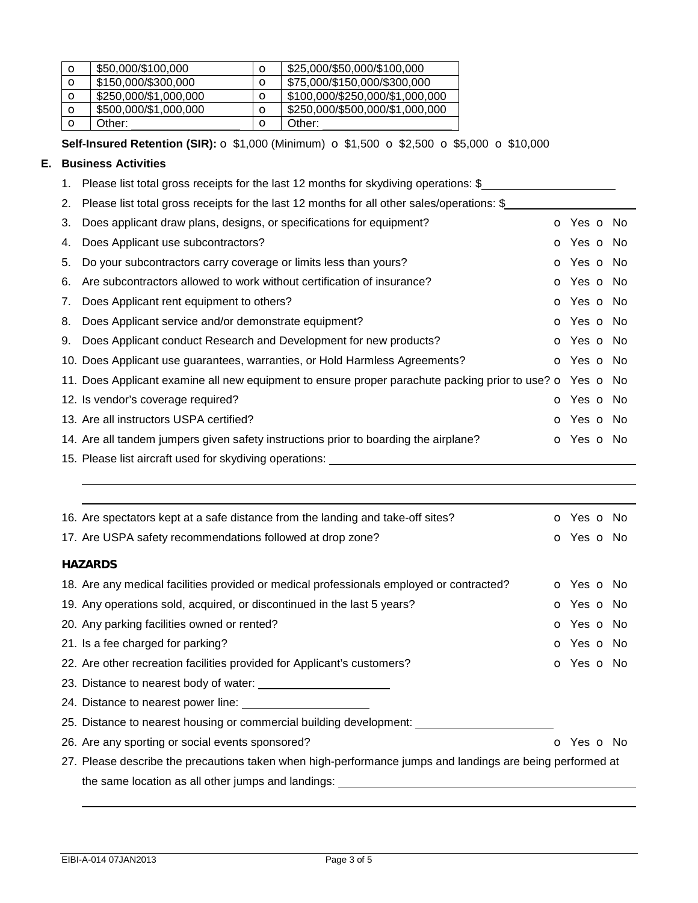| $\circ$     | \$50,000/\$100,000    | O       | \$25,000/\$50,000/\$100,000     |
|-------------|-----------------------|---------|---------------------------------|
| $\circ$     | \$150,000/\$300,000   | O       | \$75,000/\$150,000/\$300,000    |
| $\circ$     | \$250,000/\$1,000,000 | $\circ$ | \$100,000/\$250,000/\$1,000,000 |
| $\circ$     | \$500,000/\$1,000,000 | $\circ$ | \$250,000/\$500,000/\$1,000,000 |
| $\mathbf o$ | Other:                | О       | Other:                          |

**Self-Insured Retention (SIR):** o \$1,000 (Minimum) o \$1,500 o \$2,500 o \$5,000 o \$10,000

## **E. Business Activities**

1. Please list total gross receipts for the last 12 months for skydiving operations: \$

|    | 2. Please list total gross receipts for the last 12 months for all other sales/operations: \$                        |                          |  |
|----|----------------------------------------------------------------------------------------------------------------------|--------------------------|--|
| 3. | Does applicant draw plans, designs, or specifications for equipment?                                                 | <b>o</b> Yes <b>o</b> No |  |
| 4. | Does Applicant use subcontractors?                                                                                   | o Yes o No               |  |
| 5. | Do your subcontractors carry coverage or limits less than yours?                                                     | <b>o</b> Yes <b>o</b> No |  |
| 6. | Are subcontractors allowed to work without certification of insurance?                                               | <b>o</b> Yes <b>o</b> No |  |
| 7. | Does Applicant rent equipment to others?                                                                             | <b>o</b> Yes <b>o</b> No |  |
| 8. | Does Applicant service and/or demonstrate equipment?                                                                 | o Yes o No               |  |
| 9. | Does Applicant conduct Research and Development for new products?                                                    | o Yes o No               |  |
|    | 10. Does Applicant use guarantees, warranties, or Hold Harmless Agreements?                                          | O Yes O No               |  |
|    | 11. Does Applicant examine all new equipment to ensure proper parachute packing prior to use? $\circ$ Yes $\circ$ No |                          |  |
|    | 12. Is vendor's coverage required?                                                                                   | <b>o</b> Yes <b>o</b> No |  |
|    | 13. Are all instructors USPA certified?                                                                              | o Yes o No               |  |
|    | 14. Are all tandem jumpers given safety instructions prior to boarding the airplane?                                 | <b>o</b> Yes <b>o</b> No |  |
|    | 15. Please list aircraft used for skydiving operations:                                                              |                          |  |

| 16. Are spectators kept at a safe distance from the landing and take-off sites?                           | <b>o</b> Yes <b>o</b> No |  |
|-----------------------------------------------------------------------------------------------------------|--------------------------|--|
| 17. Are USPA safety recommendations followed at drop zone?                                                | <b>o</b> Yes <b>o</b> No |  |
| <b>HAZARDS</b>                                                                                            |                          |  |
| 18. Are any medical facilities provided or medical professionals employed or contracted?                  | o Yes o No               |  |
| 19. Any operations sold, acquired, or discontinued in the last 5 years?                                   | <b>o</b> Yes <b>o</b> No |  |
| 20. Any parking facilities owned or rented?                                                               | <b>o</b> Yes <b>o</b> No |  |
| 21. Is a fee charged for parking?                                                                         | <b>o</b> Yes <b>o</b> No |  |
| 22. Are other recreation facilities provided for Applicant's customers?                                   | <b>o</b> Yes <b>o</b> No |  |
| 23. Distance to nearest body of water:                                                                    |                          |  |
|                                                                                                           |                          |  |
| 25. Distance to nearest housing or commercial building development:                                       |                          |  |
| 26. Are any sporting or social events sponsored?                                                          | <b>O</b> Yes <b>O</b> No |  |
| 27. Please describe the precautions taken when high-performance jumps and landings are being performed at |                          |  |
| the same location as all other jumps and landings:                                                        |                          |  |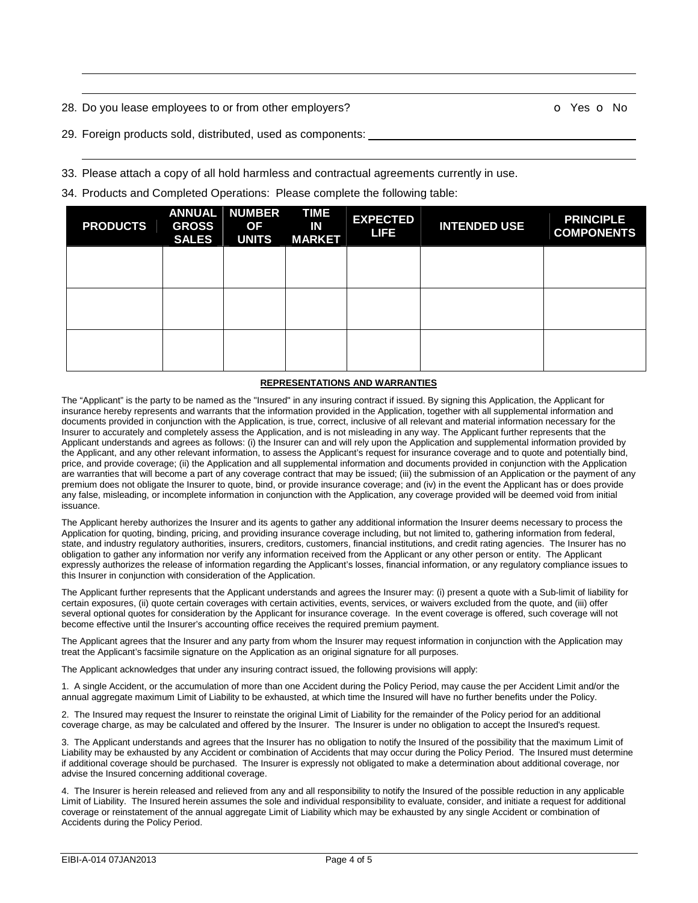28. Do you lease employees to or from other employers? **O Yes O No** 

 

29. Foreign products sold, distributed, used as components:

33. Please attach a copy of all hold harmless and contractual agreements currently in use.

34. Products and Completed Operations:Please complete the following table:

| <b>PRODUCTS</b> | ANNUAL<br><b>GROSS</b><br><b>SALES</b> | <b>NUMBER</b><br><b>OF</b><br><b>UNITS</b> | <b>TIME</b><br>IN<br><b>MARKET</b> | <b>EXPECTED</b><br><b>LIFE</b> | <b>INTENDED USE</b> | <b>PRINCIPLE</b><br><b>COMPONENTS</b> |
|-----------------|----------------------------------------|--------------------------------------------|------------------------------------|--------------------------------|---------------------|---------------------------------------|
|                 |                                        |                                            |                                    |                                |                     |                                       |
|                 |                                        |                                            |                                    |                                |                     |                                       |
|                 |                                        |                                            |                                    |                                |                     |                                       |

## **REPRESENTATIONS AND WARRANTIES**

The "Applicant" is the party to be named as the "Insured" in any insuring contract if issued. By signing this Application, the Applicant for insurance hereby represents and warrants that the information provided in the Application, together with all supplemental information and documents provided in conjunction with the Application, is true, correct, inclusive of all relevant and material information necessary for the Insurer to accurately and completely assess the Application, and is not misleading in any way. The Applicant further represents that the Applicant understands and agrees as follows: (i) the Insurer can and will rely upon the Application and supplemental information provided by the Applicant, and any other relevant information, to assess the Applicant's request for insurance coverage and to quote and potentially bind, price, and provide coverage; (ii) the Application and all supplemental information and documents provided in conjunction with the Application are warranties that will become a part of any coverage contract that may be issued; (iii) the submission of an Application or the payment of any premium does not obligate the Insurer to quote, bind, or provide insurance coverage; and (iv) in the event the Applicant has or does provide any false, misleading, or incomplete information in conjunction with the Application, any coverage provided will be deemed void from initial issuance.

The Applicant hereby authorizes the Insurer and its agents to gather any additional information the Insurer deems necessary to process the Application for quoting, binding, pricing, and providing insurance coverage including, but not limited to, gathering information from federal, state, and industry regulatory authorities, insurers, creditors, customers, financial institutions, and credit rating agencies. The Insurer has no obligation to gather any information nor verify any information received from the Applicant or any other person or entity. The Applicant expressly authorizes the release of information regarding the Applicant's losses, financial information, or any regulatory compliance issues to this Insurer in conjunction with consideration of the Application.

The Applicant further represents that the Applicant understands and agrees the Insurer may: (i) present a quote with a Sub-limit of liability for certain exposures, (ii) quote certain coverages with certain activities, events, services, or waivers excluded from the quote, and (iii) offer several optional quotes for consideration by the Applicant for insurance coverage. In the event coverage is offered, such coverage will not become effective until the Insurer's accounting office receives the required premium payment.

The Applicant agrees that the Insurer and any party from whom the Insurer may request information in conjunction with the Application may treat the Applicant's facsimile signature on the Application as an original signature for all purposes.

The Applicant acknowledges that under any insuring contract issued, the following provisions will apply:

1. A single Accident, or the accumulation of more than one Accident during the Policy Period, may cause the per Accident Limit and/or the annual aggregate maximum Limit of Liability to be exhausted, at which time the Insured will have no further benefits under the Policy.

2. The Insured may request the Insurer to reinstate the original Limit of Liability for the remainder of the Policy period for an additional coverage charge, as may be calculated and offered by the Insurer. The Insurer is under no obligation to accept the Insured's request.

3. The Applicant understands and agrees that the Insurer has no obligation to notify the Insured of the possibility that the maximum Limit of Liability may be exhausted by any Accident or combination of Accidents that may occur during the Policy Period. The Insured must determine if additional coverage should be purchased. The Insurer is expressly not obligated to make a determination about additional coverage, nor advise the Insured concerning additional coverage.

4. The Insurer is herein released and relieved from any and all responsibility to notify the Insured of the possible reduction in any applicable Limit of Liability. The Insured herein assumes the sole and individual responsibility to evaluate, consider, and initiate a request for additional coverage or reinstatement of the annual aggregate Limit of Liability which may be exhausted by any single Accident or combination of Accidents during the Policy Period.